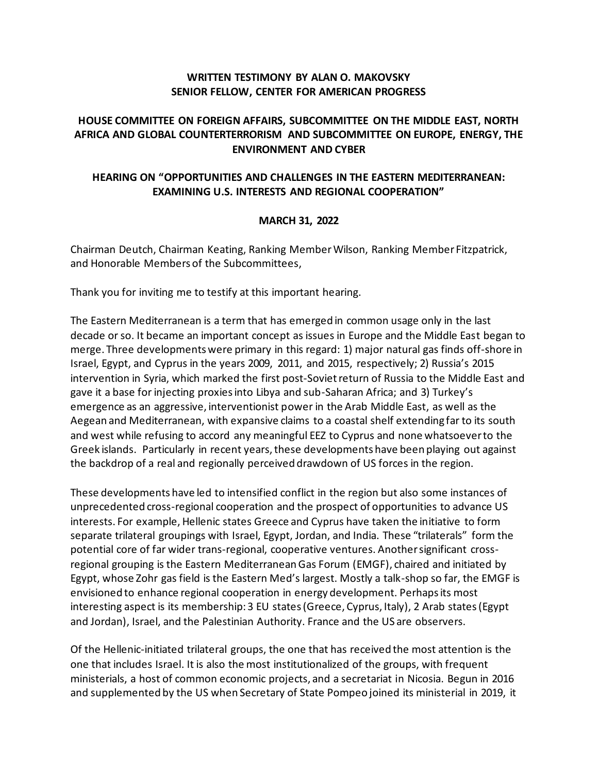## **WRITTEN TESTIMONY BY ALAN O. MAKOVSKY SENIOR FELLOW, CENTER FOR AMERICAN PROGRESS**

# **HOUSE COMMITTEE ON FOREIGN AFFAIRS, SUBCOMMITTEE ON THE MIDDLE EAST, NORTH AFRICA AND GLOBAL COUNTERTERRORISM AND SUBCOMMITTEE ON EUROPE, ENERGY, THE ENVIRONMENT AND CYBER**

# **HEARING ON "OPPORTUNITIES AND CHALLENGES IN THE EASTERN MEDITERRANEAN: EXAMINING U.S. INTERESTS AND REGIONAL COOPERATION"**

### **MARCH 31, 2022**

Chairman Deutch, Chairman Keating, Ranking Member Wilson, Ranking Member Fitzpatrick, and Honorable Members of the Subcommittees,

Thank you for inviting me to testify at this important hearing.

The Eastern Mediterranean is a term that has emerged in common usage only in the last decade or so. It became an important concept as issues in Europe and the Middle East began to merge. Three developments were primary in this regard: 1) major natural gas finds off-shore in Israel, Egypt, and Cyprus in the years 2009, 2011, and 2015, respectively; 2) Russia's 2015 intervention in Syria, which marked the first post-Soviet return of Russia to the Middle East and gave it a base for injecting proxies into Libya and sub-Saharan Africa; and 3) Turkey's emergence as an aggressive, interventionist power in the Arab Middle East, as well as the Aegean and Mediterranean, with expansive claims to a coastal shelf extending far to its south and west while refusing to accord any meaningful EEZ to Cyprus and none whatsoever to the Greek islands. Particularly in recent years, these developments have been playing out against the backdrop of a real and regionally perceived drawdown of US forces in the region.

These developments have led to intensified conflict in the region but also some instances of unprecedented cross-regional cooperation and the prospect of opportunities to advance US interests. For example, Hellenic states Greece and Cyprus have taken the initiative to form separate trilateral groupings with Israel, Egypt, Jordan, and India. These "trilaterals" form the potential core of far wider trans-regional, cooperative ventures. Another significant crossregional grouping is the Eastern Mediterranean Gas Forum (EMGF), chaired and initiated by Egypt, whose Zohr gas field is the Eastern Med's largest. Mostly a talk-shop so far, the EMGF is envisioned to enhance regional cooperation in energy development. Perhaps its most interesting aspect is its membership: 3 EU states (Greece, Cyprus, Italy), 2 Arab states (Egypt and Jordan), Israel, and the Palestinian Authority. France and the US are observers.

Of the Hellenic-initiated trilateral groups, the one that has received the most attention is the one that includes Israel. It is also the most institutionalized of the groups, with frequent ministerials, a host of common economic projects, and a secretariat in Nicosia. Begun in 2016 and supplemented by the US when Secretary of State Pompeo joined its ministerial in 2019, it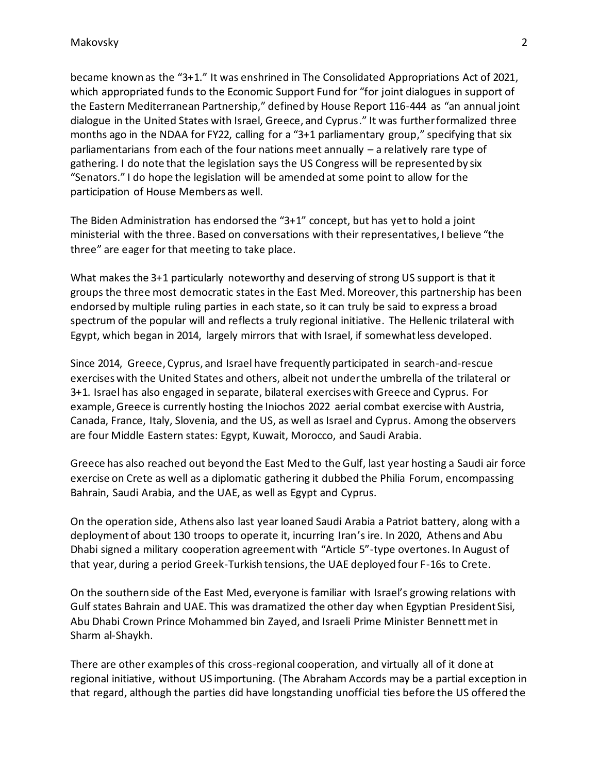became known as the "3+1." It was enshrined in The Consolidated Appropriations Act of 2021, which appropriated funds to the Economic Support Fund for "for joint dialogues in support of the Eastern Mediterranean Partnership," defined by House Report 116-444 as "an annual joint dialogue in the United States with Israel, Greece, and Cyprus." It was further formalized three months ago in the NDAA for FY22, calling for a "3+1 parliamentary group," specifying that six parliamentarians from each of the four nations meet annually – a relatively rare type of gathering. I do note that the legislation says the US Congress will be represented by six "Senators." I do hope the legislation will be amended at some point to allow for the participation of House Members as well.

The Biden Administration has endorsed the "3+1" concept, but has yet to hold a joint ministerial with the three. Based on conversations with their representatives, I believe "the three" are eager for that meeting to take place.

What makes the 3+1 particularly noteworthy and deserving of strong US support is that it groups the three most democratic states in the East Med. Moreover, this partnership has been endorsed by multiple ruling parties in each state, so it can truly be said to express a broad spectrum of the popular will and reflects a truly regional initiative. The Hellenic trilateral with Egypt, which began in 2014, largely mirrors that with Israel, if somewhat less developed.

Since 2014, Greece, Cyprus, and Israel have frequently participated in search-and-rescue exercises with the United States and others, albeit not under the umbrella of the trilateral or 3+1. Israel has also engaged in separate, bilateral exercises with Greece and Cyprus. For example, Greece is currently hosting the Iniochos 2022 aerial combat exercise with Austria, Canada, France, Italy, Slovenia, and the US, as well as Israel and Cyprus. Among the observers are four Middle Eastern states: Egypt, Kuwait, Morocco, and Saudi Arabia.

Greece has also reached out beyond the East Med to the Gulf, last year hosting a Saudi air force exercise on Crete as well as a diplomatic gathering it dubbed the Philia Forum, encompassing Bahrain, Saudi Arabia, and the UAE, as well as Egypt and Cyprus.

On the operation side, Athens also last year loaned Saudi Arabia a Patriot battery, along with a deployment of about 130 troops to operate it, incurring Iran's ire. In 2020, Athens and Abu Dhabi signed a military cooperation agreement with "Article 5"-type overtones. In August of that year, during a period Greek-Turkish tensions, the UAE deployed four F-16s to Crete.

On the southern side of the East Med, everyone is familiar with Israel's growing relations with Gulf states Bahrain and UAE. This was dramatized the other day when Egyptian President Sisi, Abu Dhabi Crown Prince Mohammed bin Zayed, and Israeli Prime Minister Bennett met in Sharm al-Shaykh.

There are other examples of this cross-regional cooperation, and virtually all of it done at regional initiative, without US importuning. (The Abraham Accords may be a partial exception in that regard, although the parties did have longstanding unofficial ties before the US offered the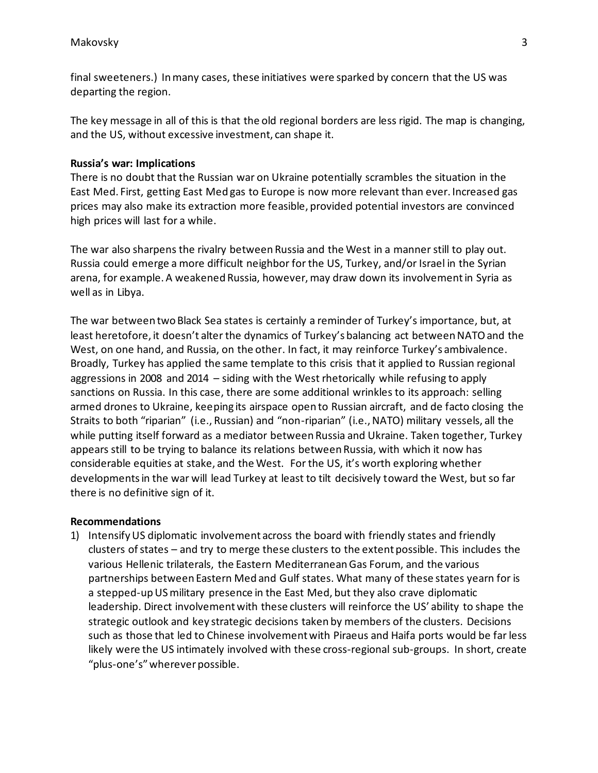final sweeteners.) In many cases, these initiatives were sparked by concern that the US was departing the region.

The key message in all of this is that the old regional borders are less rigid. The map is changing, and the US, without excessive investment, can shape it.

### **Russia's war: Implications**

There is no doubt that the Russian war on Ukraine potentially scrambles the situation in the East Med. First, getting East Med gas to Europe is now more relevant than ever. Increased gas prices may also make its extraction more feasible, provided potential investors are convinced high prices will last for a while.

The war also sharpens the rivalry between Russia and the West in a manner still to play out. Russia could emerge a more difficult neighbor for the US, Turkey, and/or Israel in the Syrian arena, for example. A weakened Russia, however, may draw down its involvement in Syria as well as in Libya.

The war between two Black Sea states is certainly a reminder of Turkey's importance, but, at least heretofore, it doesn't alter the dynamics of Turkey's balancing act between NATO and the West, on one hand, and Russia, on the other. In fact, it may reinforce Turkey's ambivalence. Broadly, Turkey has applied the same template to this crisis that it applied to Russian regional aggressions in 2008 and 2014 – siding with the West rhetorically while refusing to apply sanctions on Russia. In this case, there are some additional wrinkles to its approach: selling armed drones to Ukraine, keeping its airspace open to Russian aircraft, and de facto closing the Straits to both "riparian" (i.e., Russian) and "non-riparian" (i.e., NATO) military vessels, all the while putting itself forward as a mediator between Russia and Ukraine. Taken together, Turkey appears still to be trying to balance its relations between Russia, with which it now has considerable equities at stake, and the West. For the US, it's worth exploring whether developments in the war will lead Turkey at least to tilt decisively toward the West, but so far there is no definitive sign of it.

#### **Recommendations**

1) Intensify US diplomatic involvement across the board with friendly states and friendly clusters of states – and try to merge these clusters to the extent possible. This includes the various Hellenic trilaterals, the Eastern Mediterranean Gas Forum, and the various partnerships between Eastern Med and Gulf states. What many of these states yearn for is a stepped-up US military presence in the East Med, but they also crave diplomatic leadership. Direct involvement with these clusters will reinforce the US' ability to shape the strategic outlook and key strategic decisions taken by members of the clusters. Decisions such as those that led to Chinese involvement with Piraeus and Haifa ports would be far less likely were the US intimately involved with these cross-regional sub-groups. In short, create "plus-one's" wherever possible.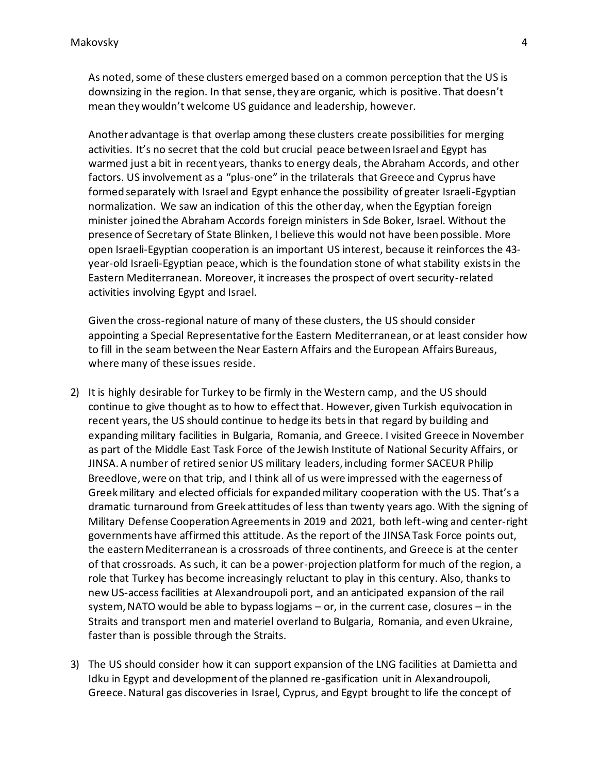As noted, some of these clusters emerged based on a common perception that the US is downsizing in the region. In that sense, they are organic, which is positive. That doesn't mean they wouldn't welcome US guidance and leadership, however.

Another advantage is that overlap among these clusters create possibilities for merging activities. It's no secret that the cold but crucial peace between Israel and Egypt has warmed just a bit in recent years, thanks to energy deals, the Abraham Accords, and other factors. US involvement as a "plus-one" in the trilaterals that Greece and Cyprus have formed separately with Israel and Egypt enhance the possibility of greater Israeli-Egyptian normalization. We saw an indication of this the other day, when the Egyptian foreign minister joined the Abraham Accords foreign ministers in Sde Boker, Israel. Without the presence of Secretary of State Blinken, I believe this would not have been possible. More open Israeli-Egyptian cooperation is an important US interest, because it reinforces the 43 year-old Israeli-Egyptian peace, which is the foundation stone of what stability exists in the Eastern Mediterranean. Moreover, it increases the prospect of overt security-related activities involving Egypt and Israel.

Given the cross-regional nature of many of these clusters, the US should consider appointing a Special Representative for the Eastern Mediterranean, or at least consider how to fill in the seam between the Near Eastern Affairs and the European Affairs Bureaus, where many of these issues reside.

- 2) It is highly desirable for Turkey to be firmly in the Western camp, and the US should continue to give thought as to how to effect that. However, given Turkish equivocation in recent years, the US should continue to hedge its bets in that regard by building and expanding military facilities in Bulgaria, Romania, and Greece. I visited Greece in November as part of the Middle East Task Force of the Jewish Institute of National Security Affairs, or JINSA. A number of retired senior US military leaders, including former SACEUR Philip Breedlove, were on that trip, and I think all of us were impressed with the eagerness of Greek military and elected officials for expanded military cooperation with the US. That's a dramatic turnaround from Greek attitudes of less than twenty years ago. With the signing of Military Defense Cooperation Agreements in 2019 and 2021, both left-wing and center-right governments have affirmed this attitude. As the report of the JINSA Task Force points out, the eastern Mediterranean is a crossroads of three continents, and Greece is at the center of that crossroads. As such, it can be a power-projection platform for much of the region, a role that Turkey has become increasingly reluctant to play in this century. Also, thanks to new US-access facilities at Alexandroupoli port, and an anticipated expansion of the rail system, NATO would be able to bypass logjams – or, in the current case, closures – in the Straits and transport men and materiel overland to Bulgaria, Romania, and even Ukraine, faster than is possible through the Straits.
- 3) The US should consider how it can support expansion of the LNG facilities at Damietta and Idku in Egypt and development of the planned re-gasification unit in Alexandroupoli, Greece. Natural gas discoveries in Israel, Cyprus, and Egypt brought to life the concept of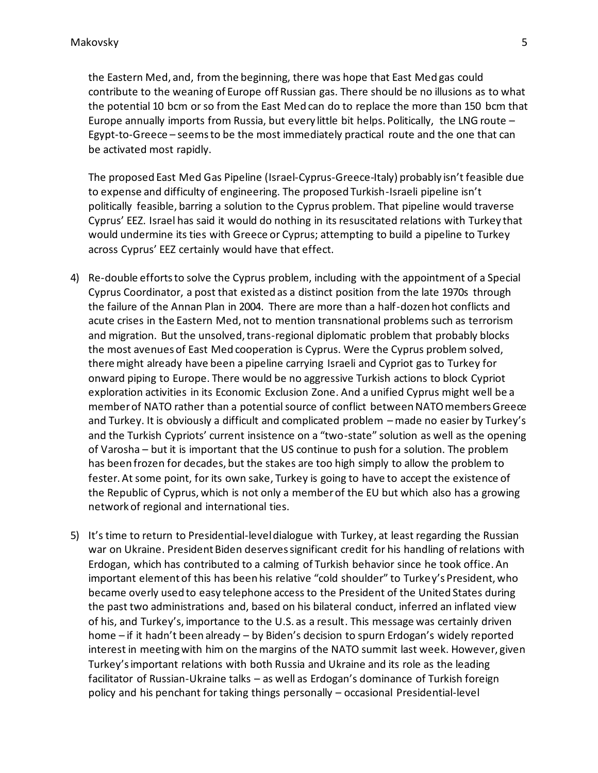the Eastern Med, and, from the beginning, there was hope that East Med gas could contribute to the weaning of Europe off Russian gas. There should be no illusions as to what the potential 10 bcm or so from the East Med can do to replace the more than 150 bcm that Europe annually imports from Russia, but every little bit helps. Politically, the LNG route – Egypt-to-Greece – seems to be the most immediately practical route and the one that can be activated most rapidly.

The proposed East Med Gas Pipeline (Israel-Cyprus-Greece-Italy) probably isn't feasible due to expense and difficulty of engineering. The proposed Turkish-Israeli pipeline isn't politically feasible, barring a solution to the Cyprus problem. That pipeline would traverse Cyprus' EEZ. Israel has said it would do nothing in its resuscitated relations with Turkey that would undermine its ties with Greece or Cyprus; attempting to build a pipeline to Turkey across Cyprus' EEZ certainly would have that effect.

- 4) Re-double efforts to solve the Cyprus problem, including with the appointment of a Special Cyprus Coordinator, a post that existed as a distinct position from the late 1970s through the failure of the Annan Plan in 2004. There are more than a half-dozen hot conflicts and acute crises in the Eastern Med, not to mention transnational problems such as terrorism and migration. But the unsolved, trans-regional diplomatic problem that probably blocks the most avenues of East Med cooperation is Cyprus. Were the Cyprus problem solved, there might already have been a pipeline carrying Israeli and Cypriot gas to Turkey for onward piping to Europe. There would be no aggressive Turkish actions to block Cypriot exploration activities in its Economic Exclusion Zone. And a unified Cyprus might well be a member of NATO rather than a potential source of conflict between NATO members Greece and Turkey. It is obviously a difficult and complicated problem – made no easier by Turkey's and the Turkish Cypriots' current insistence on a "two-state" solution as well as the opening of Varosha – but it is important that the US continue to push for a solution. The problem has been frozen for decades, but the stakes are too high simply to allow the problem to fester. At some point, for its own sake, Turkey is going to have to accept the existence of the Republic of Cyprus, which is not only a member of the EU but which also has a growing network of regional and international ties.
- 5) It's time to return to Presidential-level dialogue with Turkey, at least regarding the Russian war on Ukraine. President Biden deserves significant credit for his handling of relations with Erdogan, which has contributed to a calming of Turkish behavior since he took office. An important element of this has been his relative "cold shoulder" to Turkey's President, who became overly used to easy telephone access to the President of the United States during the past two administrations and, based on his bilateral conduct, inferred an inflated view of his, and Turkey's, importance to the U.S. as a result. This message was certainly driven home – if it hadn't been already – by Biden's decision to spurn Erdogan's widely reported interest in meeting with him on the margins of the NATO summit last week. However, given Turkey's important relations with both Russia and Ukraine and its role as the leading facilitator of Russian-Ukraine talks – as well as Erdogan's dominance of Turkish foreign policy and his penchant for taking things personally – occasional Presidential-level